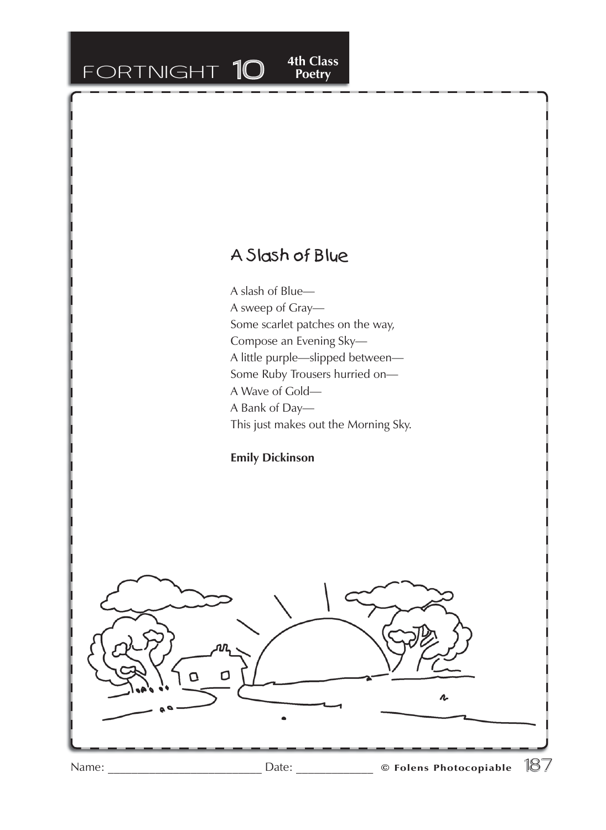## FORTNIGHT 10

## A Slash of Blue

**4th Class<br>Poetry** 

A slash of Blue— A sweep of Gray— Some scarlet patches on the way, Compose an Evening Sky— A little purple—slipped between— Some Ruby Trousers hurried on— A Wave of Gold— A Bank of Day— This just makes out the Morning Sky.

**Emily Dickinson**